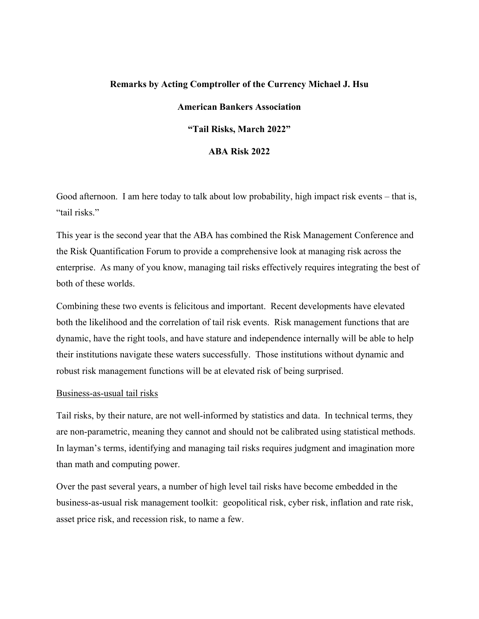## **Remarks by Acting Comptroller of the Currency Michael J. Hsu**

# **American Bankers Association**

# **"Tail Risks, March 2022"**

# **ABA Risk 2022**

Good afternoon. I am here today to talk about low probability, high impact risk events – that is, "tail risks."

This year is the second year that the ABA has combined the Risk Management Conference and the Risk Quantification Forum to provide a comprehensive look at managing risk across the enterprise. As many of you know, managing tail risks effectively requires integrating the best of both of these worlds.

Combining these two events is felicitous and important. Recent developments have elevated both the likelihood and the correlation of tail risk events. Risk management functions that are dynamic, have the right tools, and have stature and independence internally will be able to help their institutions navigate these waters successfully. Those institutions without dynamic and robust risk management functions will be at elevated risk of being surprised.

#### Business-as-usual tail risks

Tail risks, by their nature, are not well-informed by statistics and data. In technical terms, they are non-parametric, meaning they cannot and should not be calibrated using statistical methods. In layman's terms, identifying and managing tail risks requires judgment and imagination more than math and computing power.

Over the past several years, a number of high level tail risks have become embedded in the business-as-usual risk management toolkit: geopolitical risk, cyber risk, inflation and rate risk, asset price risk, and recession risk, to name a few.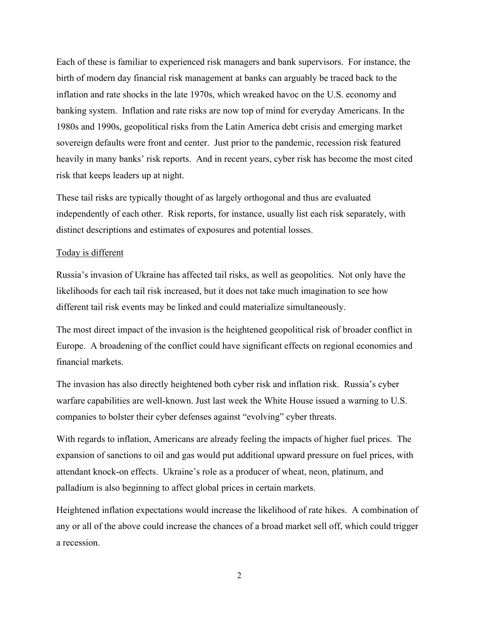Each of these is familiar to experienced risk managers and bank supervisors. For instance, the birth of modern day financial risk management at banks can arguably be traced back to the inflation and rate shocks in the late 1970s, which wreaked havoc on the U.S. economy and banking system. Inflation and rate risks are now top of mind for everyday Americans. In the 1980s and 1990s, geopolitical risks from the Latin America debt crisis and emerging market sovereign defaults were front and center. Just prior to the pandemic, recession risk featured heavily in many banks' risk reports. And in recent years, cyber risk has become the most cited risk that keeps leaders up at night.

These tail risks are typically thought of as largely orthogonal and thus are evaluated independently of each other. Risk reports, for instance, usually list each risk separately, with distinct descriptions and estimates of exposures and potential losses.

#### Today is different

Russia's invasion of Ukraine has affected tail risks, as well as geopolitics. Not only have the likelihoods for each tail risk increased, but it does not take much imagination to see how different tail risk events may be linked and could materialize simultaneously.

The most direct impact of the invasion is the heightened geopolitical risk of broader conflict in Europe. A broadening of the conflict could have significant effects on regional economies and financial markets.

The invasion has also directly heightened both cyber risk and inflation risk. Russia's cyber warfare capabilities are well-known. Just last week the White House issued a warning to U.S. companies to bolster their cyber defenses against "evolving" cyber threats.

With regards to inflation, Americans are already feeling the impacts of higher fuel prices. The expansion of sanctions to oil and gas would put additional upward pressure on fuel prices, with attendant knock-on effects. Ukraine's role as a producer of wheat, neon, platinum, and palladium is also beginning to affect global prices in certain markets.

Heightened inflation expectations would increase the likelihood of rate hikes. A combination of any or all of the above could increase the chances of a broad market sell off, which could trigger a recession.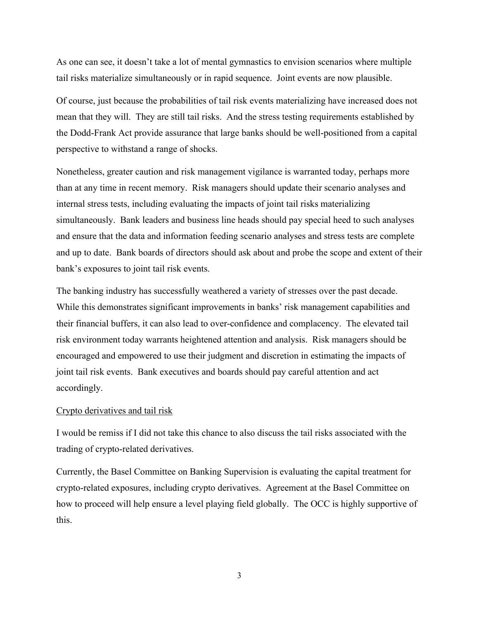As one can see, it doesn't take a lot of mental gymnastics to envision scenarios where multiple tail risks materialize simultaneously or in rapid sequence. Joint events are now plausible.

Of course, just because the probabilities of tail risk events materializing have increased does not mean that they will. They are still tail risks. And the stress testing requirements established by the Dodd-Frank Act provide assurance that large banks should be well-positioned from a capital perspective to withstand a range of shocks.

Nonetheless, greater caution and risk management vigilance is warranted today, perhaps more than at any time in recent memory. Risk managers should update their scenario analyses and internal stress tests, including evaluating the impacts of joint tail risks materializing simultaneously. Bank leaders and business line heads should pay special heed to such analyses and ensure that the data and information feeding scenario analyses and stress tests are complete and up to date. Bank boards of directors should ask about and probe the scope and extent of their bank's exposures to joint tail risk events.

The banking industry has successfully weathered a variety of stresses over the past decade. While this demonstrates significant improvements in banks' risk management capabilities and their financial buffers, it can also lead to over-confidence and complacency. The elevated tail risk environment today warrants heightened attention and analysis. Risk managers should be encouraged and empowered to use their judgment and discretion in estimating the impacts of joint tail risk events. Bank executives and boards should pay careful attention and act accordingly.

## Crypto derivatives and tail risk

I would be remiss if I did not take this chance to also discuss the tail risks associated with the trading of crypto-related derivatives.

Currently, the Basel Committee on Banking Supervision is evaluating the capital treatment for crypto-related exposures, including crypto derivatives. Agreement at the Basel Committee on how to proceed will help ensure a level playing field globally. The OCC is highly supportive of this.

3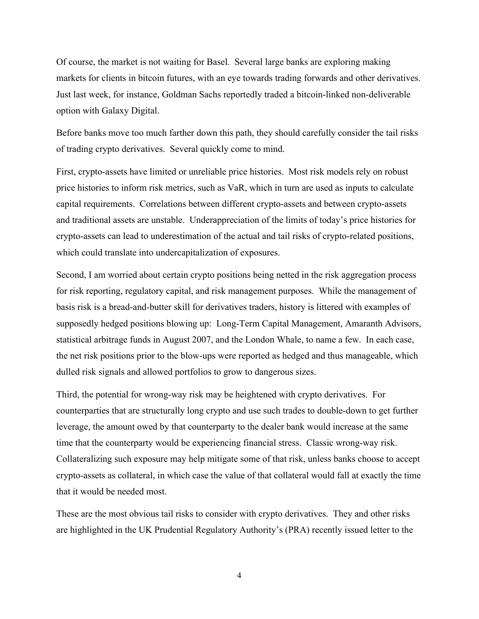Of course, the market is not waiting for Basel. Several large banks are exploring making markets for clients in bitcoin futures, with an eye towards trading forwards and other derivatives. Just last week, for instance, Goldman Sachs reportedly traded a bitcoin-linked non-deliverable option with Galaxy Digital.

Before banks move too much farther down this path, they should carefully consider the tail risks of trading crypto derivatives. Several quickly come to mind.

First, crypto-assets have limited or unreliable price histories. Most risk models rely on robust price histories to inform risk metrics, such as VaR, which in turn are used as inputs to calculate capital requirements. Correlations between different crypto-assets and between crypto-assets and traditional assets are unstable. Underappreciation of the limits of today's price histories for crypto-assets can lead to underestimation of the actual and tail risks of crypto-related positions, which could translate into undercapitalization of exposures.

Second, I am worried about certain crypto positions being netted in the risk aggregation process for risk reporting, regulatory capital, and risk management purposes. While the management of basis risk is a bread-and-butter skill for derivatives traders, history is littered with examples of supposedly hedged positions blowing up: Long-Term Capital Management, Amaranth Advisors, statistical arbitrage funds in August 2007, and the London Whale, to name a few. In each case, the net risk positions prior to the blow-ups were reported as hedged and thus manageable, which dulled risk signals and allowed portfolios to grow to dangerous sizes.

Third, the potential for wrong-way risk may be heightened with crypto derivatives. For counterparties that are structurally long crypto and use such trades to double-down to get further leverage, the amount owed by that counterparty to the dealer bank would increase at the same time that the counterparty would be experiencing financial stress. Classic wrong-way risk. Collateralizing such exposure may help mitigate some of that risk, unless banks choose to accept crypto-assets as collateral, in which case the value of that collateral would fall at exactly the time that it would be needed most.

These are the most obvious tail risks to consider with crypto derivatives. They and other risks are highlighted in the UK Prudential Regulatory Authority's (PRA) recently issued letter to the

4